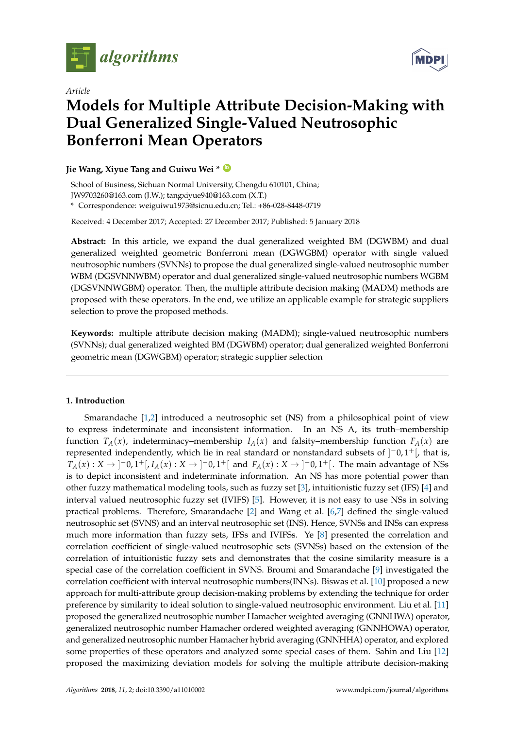

*Article*

# **MDPI**

# **Models for Multiple Attribute Decision-Making with Dual Generalized Single-Valued Neutrosophic Bonferroni Mean Operators**

# **Jie Wang, Xiyue Tang and Guiwu Wei \* [ID](https://orcid.org/0000-0001-9074-2005)**

School of Business, Sichuan Normal University, Chengdu 610101, China; JW9703260@163.com (J.W.); tangxiyue940@163.com (X.T.)

**\*** Correspondence: weiguiwu1973@sicnu.edu.cn; Tel.: +86-028-8448-0719

Received: 4 December 2017; Accepted: 27 December 2017; Published: 5 January 2018

**Abstract:** In this article, we expand the dual generalized weighted BM (DGWBM) and dual generalized weighted geometric Bonferroni mean (DGWGBM) operator with single valued neutrosophic numbers (SVNNs) to propose the dual generalized single-valued neutrosophic number WBM (DGSVNNWBM) operator and dual generalized single-valued neutrosophic numbers WGBM (DGSVNNWGBM) operator. Then, the multiple attribute decision making (MADM) methods are proposed with these operators. In the end, we utilize an applicable example for strategic suppliers selection to prove the proposed methods.

**Keywords:** multiple attribute decision making (MADM); single-valued neutrosophic numbers (SVNNs); dual generalized weighted BM (DGWBM) operator; dual generalized weighted Bonferroni geometric mean (DGWGBM) operator; strategic supplier selection

# **1. Introduction**

Smarandache [\[1](#page-11-0)[,2\]](#page-11-1) introduced a neutrosophic set (NS) from a philosophical point of view to express indeterminate and inconsistent information. In an NS A, its truth–membership function  $T_A(x)$ , indeterminacy–membership  $I_A(x)$  and falsity–membership function  $F_A(x)$  are represented independently, which lie in real standard or nonstandard subsets of  $]$ <sup>-</sup>0,1<sup>+</sup>[, that is, *T*<sub>*A*</sub>(*x*) : *X* → ]<sup>−</sup>0, 1<sup>+</sup>[, *I<sub>A</sub>*(*x*) : *X* → ]<sup>−</sup>0, 1<sup>+</sup>[ and *F<sub>A</sub>*(*x*) : *X* → ]<sup>−</sup>0, 1<sup>+</sup>[. The main advantage of NSs is to depict inconsistent and indeterminate information. An NS has more potential power than other fuzzy mathematical modeling tools, such as fuzzy set [\[3\]](#page-11-2), intuitionistic fuzzy set (IFS) [\[4\]](#page-11-3) and interval valued neutrosophic fuzzy set (IVIFS) [\[5\]](#page-11-4). However, it is not easy to use NSs in solving practical problems. Therefore, Smarandache [\[2\]](#page-11-1) and Wang et al. [\[6](#page-11-5)[,7\]](#page-11-6) defined the single-valued neutrosophic set (SVNS) and an interval neutrosophic set (INS). Hence, SVNSs and INSs can express much more information than fuzzy sets, IFSs and IVIFSs. Ye [\[8\]](#page-11-7) presented the correlation and correlation coefficient of single-valued neutrosophic sets (SVNSs) based on the extension of the correlation of intuitionistic fuzzy sets and demonstrates that the cosine similarity measure is a special case of the correlation coefficient in SVNS. Broumi and Smarandache [\[9\]](#page-11-8) investigated the correlation coefficient with interval neutrosophic numbers(INNs). Biswas et al. [\[10\]](#page-11-9) proposed a new approach for multi-attribute group decision-making problems by extending the technique for order preference by similarity to ideal solution to single-valued neutrosophic environment. Liu et al. [\[11\]](#page-12-0) proposed the generalized neutrosophic number Hamacher weighted averaging (GNNHWA) operator, generalized neutrosophic number Hamacher ordered weighted averaging (GNNHOWA) operator, and generalized neutrosophic number Hamacher hybrid averaging (GNNHHA) operator, and explored some properties of these operators and analyzed some special cases of them. Sahin and Liu [\[12\]](#page-12-1) proposed the maximizing deviation models for solving the multiple attribute decision-making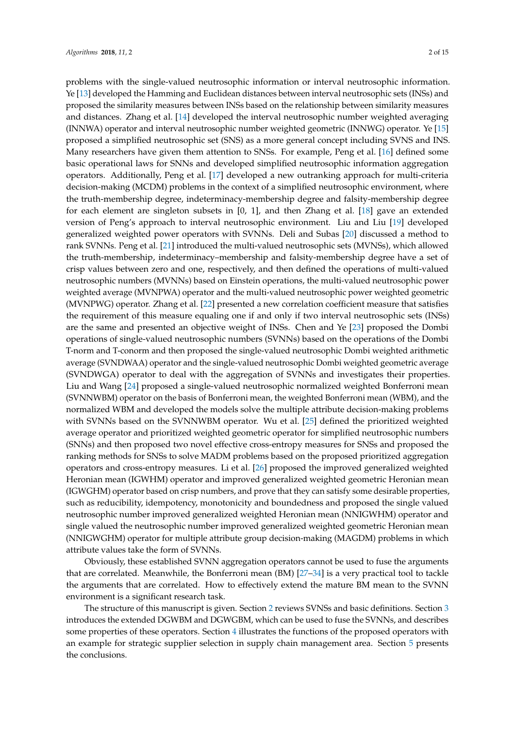problems with the single-valued neutrosophic information or interval neutrosophic information. Ye [\[13\]](#page-12-2) developed the Hamming and Euclidean distances between interval neutrosophic sets (INSs) and proposed the similarity measures between INSs based on the relationship between similarity measures and distances. Zhang et al. [\[14\]](#page-12-3) developed the interval neutrosophic number weighted averaging (INNWA) operator and interval neutrosophic number weighted geometric (INNWG) operator. Ye [\[15\]](#page-12-4) proposed a simplified neutrosophic set (SNS) as a more general concept including SVNS and INS. Many researchers have given them attention to SNSs. For example, Peng et al. [\[16\]](#page-12-5) defined some basic operational laws for SNNs and developed simplified neutrosophic information aggregation operators. Additionally, Peng et al. [\[17\]](#page-12-6) developed a new outranking approach for multi-criteria decision-making (MCDM) problems in the context of a simplified neutrosophic environment, where the truth-membership degree, indeterminacy-membership degree and falsity-membership degree for each element are singleton subsets in [0, 1], and then Zhang et al. [\[18\]](#page-12-7) gave an extended version of Peng's approach to interval neutrosophic environment. Liu and Liu [\[19\]](#page-12-8) developed generalized weighted power operators with SVNNs. Deli and Subas [\[20\]](#page-12-9) discussed a method to rank SVNNs. Peng et al. [\[21\]](#page-12-10) introduced the multi-valued neutrosophic sets (MVNSs), which allowed the truth-membership, indeterminacy–membership and falsity-membership degree have a set of crisp values between zero and one, respectively, and then defined the operations of multi-valued neutrosophic numbers (MVNNs) based on Einstein operations, the multi-valued neutrosophic power weighted average (MVNPWA) operator and the multi-valued neutrosophic power weighted geometric (MVNPWG) operator. Zhang et al. [\[22\]](#page-12-11) presented a new correlation coefficient measure that satisfies the requirement of this measure equaling one if and only if two interval neutrosophic sets (INSs) are the same and presented an objective weight of INSs. Chen and Ye [\[23\]](#page-12-12) proposed the Dombi operations of single-valued neutrosophic numbers (SVNNs) based on the operations of the Dombi T-norm and T-conorm and then proposed the single-valued neutrosophic Dombi weighted arithmetic average (SVNDWAA) operator and the single-valued neutrosophic Dombi weighted geometric average (SVNDWGA) operator to deal with the aggregation of SVNNs and investigates their properties. Liu and Wang [\[24\]](#page-12-13) proposed a single-valued neutrosophic normalized weighted Bonferroni mean (SVNNWBM) operator on the basis of Bonferroni mean, the weighted Bonferroni mean (WBM), and the normalized WBM and developed the models solve the multiple attribute decision-making problems with SVNNs based on the SVNNWBM operator. Wu et al. [\[25\]](#page-12-14) defined the prioritized weighted average operator and prioritized weighted geometric operator for simplified neutrosophic numbers (SNNs) and then proposed two novel effective cross-entropy measures for SNSs and proposed the ranking methods for SNSs to solve MADM problems based on the proposed prioritized aggregation operators and cross-entropy measures. Li et al. [\[26\]](#page-12-15) proposed the improved generalized weighted Heronian mean (IGWHM) operator and improved generalized weighted geometric Heronian mean (IGWGHM) operator based on crisp numbers, and prove that they can satisfy some desirable properties, such as reducibility, idempotency, monotonicity and boundedness and proposed the single valued neutrosophic number improved generalized weighted Heronian mean (NNIGWHM) operator and single valued the neutrosophic number improved generalized weighted geometric Heronian mean (NNIGWGHM) operator for multiple attribute group decision-making (MAGDM) problems in which attribute values take the form of SVNNs.

Obviously, these established SVNN aggregation operators cannot be used to fuse the arguments that are correlated. Meanwhile, the Bonferroni mean (BM) [\[27](#page-12-16)[–34\]](#page-12-17) is a very practical tool to tackle the arguments that are correlated. How to effectively extend the mature BM mean to the SVNN environment is a significant research task.

The structure of this manuscript is given. Section [2](#page-2-0) reviews SVNSs and basic definitions. Section [3](#page-3-0) introduces the extended DGWBM and DGWGBM, which can be used to fuse the SVNNs, and describes some properties of these operators. Section [4](#page-9-0) illustrates the functions of the proposed operators with an example for strategic supplier selection in supply chain management area. Section [5](#page-11-10) presents the conclusions.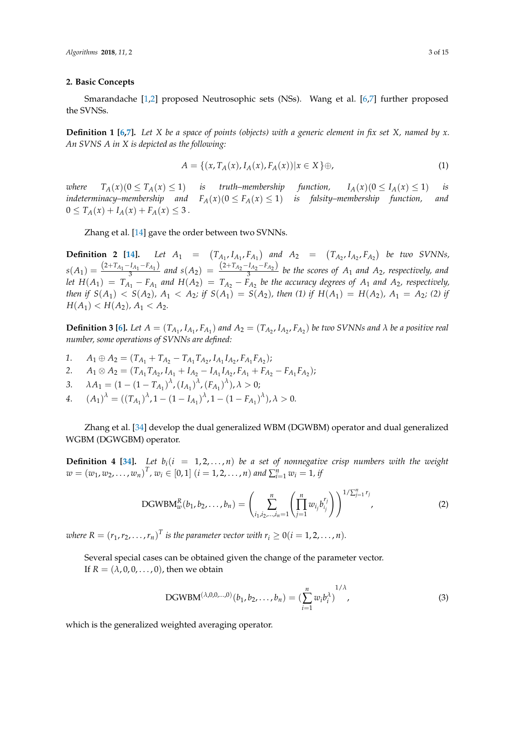#### <span id="page-2-0"></span>**2. Basic Concepts**

Smarandache [\[1,](#page-11-0)[2\]](#page-11-1) proposed Neutrosophic sets (NSs). Wang et al. [\[6,](#page-11-5)[7\]](#page-11-6) further proposed the SVNSs.

**Definition 1 [\[6](#page-11-5)[,7\]](#page-11-6).** *Let X be a space of points (objects) with a generic element in fix set X, named by x. An SVNS A in X is depicted as the following:*

$$
A = \{ (x, T_A(x), I_A(x), F_A(x)) | x \in X \} \oplus,
$$
\n(1)

*where*  $T_A(x)(0 \le T_A(x) \le 1)$  *is truth–membership function,*  $I_A(x)(0 \le I_A(x) \le 1)$  *is indeterminacy–membership and*  $F_A(x)(0 \le F_A(x) \le 1)$  *is falsity–membership function, and*  $0 \leq T_A(x) + I_A(x) + F_A(x) \leq 3$ .

Zhang et al. [\[14\]](#page-12-3) gave the order between two SVNNs.

**Definition 2** [\[14\]](#page-12-3). Let  $A_1 = (T_{A_1}, I_{A_1}, F_{A_1})$  and  $A_2 = (T_{A_2}, I_{A_2}, F_{A_2})$  be two SVNNs,  $s(A_1) = \frac{(2+T_{A_1}-I_{A_1}-F_{A_1})}{3}$  and  $s(A_2) = \frac{(2+T_{A_2}-I_{A_2}-F_{A_2})}{3}$  be the scores of  $A_1$  and  $A_2$ , respectively, and let  $H(A_1) = T_{A_1} - F_{A_1}$  and  $H(A_2) = T_{A_2} - F_{A_2}$  be the accuracy degrees of  $A_1$  and  $A_2$ , respectively, then if  $S(A_1) < S(A_2)$ ,  $A_1 < A_2$ ; if  $S(A_1) = S(A_2)$ , then (1) if  $H(A_1) = H(A_2)$ ,  $A_1 = A_2$ ; (2) if  $H(A_1) < H(A_2)$ ,  $A_1 < A_2$ .

**Definition 3** [\[6\]](#page-11-5). Let  $A = (T_{A_1}, I_{A_1}, F_{A_1})$  and  $A_2 = (T_{A_2}, I_{A_2}, F_{A_2})$  be two SVNNs and  $\lambda$  be a positive real *number, some operations of SVNNs are defined:*

- *1*. *A*<sub>1</sub> ⊕ *A*<sub>2</sub> = ( $T_{A_1} + T_{A_2} T_{A_1}T_{A_2}$ ,  $I_{A_1}I_{A_2}$ ,  $F_{A_1}F_{A_2}$ );
- 2.  $A_1 \otimes A_2 = (T_{A_1} T_{A_2}, I_{A_1} + I_{A_2} I_{A_1} I_{A_2}, F_{A_1} + F_{A_2} F_{A_1} F_{A_2});$
- 3.  $\lambda A_1 = (1 (1 T_{A_1})^{\lambda}, (I_{A_1})^{\lambda}, (F_{A_1})^{\lambda}), \lambda > 0;$
- *4*.  $(A_1)^{\lambda} = ((T_{A_1})^{\lambda}, 1 (1 I_{A_1})^{\lambda}, 1 (1 F_{A_1})^{\lambda}), \lambda > 0.$

Zhang et al. [\[34\]](#page-12-17) develop the dual generalized WBM (DGWBM) operator and dual generalized WGBM (DGWGBM) operator.

**Definition 4 [\[34\]](#page-12-17).** Let  $b_i(i = 1, 2, ..., n)$  be a set of nonnegative crisp numbers with the weight  $w = (w_1, w_2, \dots, w_n)^T$ ,  $w_i \in [0, 1]$   $(i = 1, 2, \dots, n)$  and  $\sum_{i=1}^{n} w_i = 1$ , if

DGWBM<sub>w</sub><sup>R</sup>(b<sub>1</sub>, b<sub>2</sub>,..., b<sub>n</sub>) = 
$$
\left(\sum_{i_1,i_2,...,i_n=1}^{n} \left(\prod_{j=1}^{n} w_{i_j} b_{i_j}^{r_j}\right)\right)^{1/\sum_{j=1}^{n} r_j},
$$
 (2)

*where R* =  $(r_1, r_2, \ldots, r_n)^T$  *is the parameter vector with*  $r_i \ge 0$  (*i* = 1, 2, . . . , *n*).

Several special cases can be obtained given the change of the parameter vector. If  $R = (\lambda, 0, 0, \dots, 0)$ , then we obtain

DGWBM<sup>(
$$
\lambda,0,0,...,0
$$
)</sup>  $(b_1, b_2,..., b_n) = \left(\sum_{i=1}^n w_i b_i^{\lambda}\right)^{1/\lambda}$ , (3)

which is the generalized weighted averaging operator.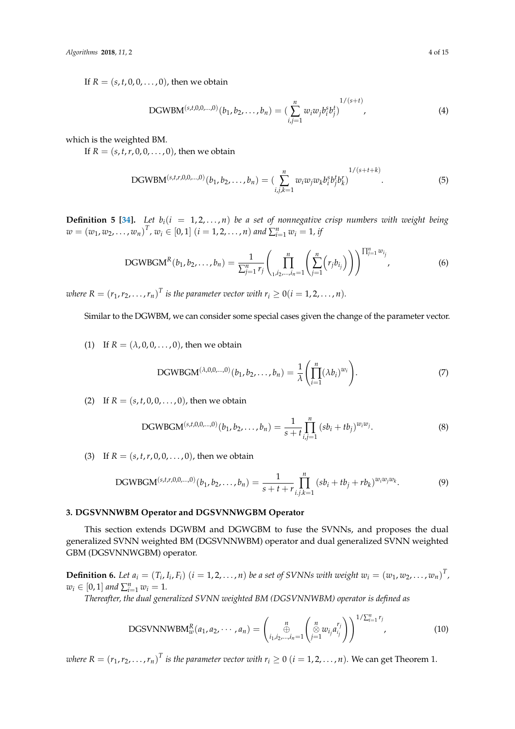If  $R = (s, t, 0, 0, \dots, 0)$ , then we obtain

DGWBM<sup>(s,t,0,0,...,0)</sup>(b<sub>1</sub>, b<sub>2</sub>,..., b<sub>n</sub>) = 
$$
\left(\sum_{i,j=1}^{n} w_i w_j b_i^s b_j^t\right)^{1/(s+t)},
$$
 (4)

which is the weighted BM.

If  $R = (s, t, r, 0, 0, \ldots, 0)$ , then we obtain

$$
DGWBM^{(s,t,r,0,0,...,0)}(b_1, b_2,..., b_n) = \left(\sum_{i,j,k=1}^n w_i w_j w_k b_i^s b_j^t b_k^t\right)^{1/(s+t+k)}.
$$
\n(5)

**Definition 5 [\[34\]](#page-12-17).** *Let*  $b_i$ ( $i = 1, 2, ..., n$ ) *be a set of nonnegative crisp numbers with weight being*  $w = (w_1, w_2, \dots, w_n)^T$ ,  $w_i \in [0, 1]$   $(i = 1, 2, \dots, n)$  and  $\sum_{i=1}^{n} w_i = 1$ , if

DGWBGM<sup>R</sup>(b<sub>1</sub>, b<sub>2</sub>,..., b<sub>n</sub>) = 
$$
\frac{1}{\sum_{j=1}^{n} r_j} \left( \prod_{i,j_2,...,i_n=1}^{n} \left( \sum_{j=1}^{n} (r_j b_{i_j}) \right) \right)^{\prod_{j=1}^{n} w_{i_j}},
$$
(6)

*where*  $R = (r_1, r_2, \ldots, r_n)^T$  *is the parameter vector with*  $r_i \geq 0$  (*i* = 1, 2, . . . , *n*).

Similar to the DGWBM, we can consider some special cases given the change of the parameter vector.

(1) If  $R = (\lambda, 0, 0, \dots, 0)$ , then we obtain

DGWBGM<sup>(
$$
\lambda,0,0,\ldots,0
$$
)</sup> $(b_1, b_2, \ldots, b_n) = \frac{1}{\lambda} \left( \prod_{i=1}^n (\lambda b_i)^{w_i} \right).$  (7)

(2) If  $R = (s, t, 0, 0, \ldots, 0)$ , then we obtain

DGWBGM<sup>(s,t,0,0,...,0)</sup>
$$
(b_1, b_2,..., b_n) = \frac{1}{s+t} \prod_{i,j=1}^n (sb_i+tb_j)^{w_iw_j}.
$$
 (8)

(3) If  $R = (s, t, r, 0, 0, \ldots, 0)$ , then we obtain

DGWBGM<sup>(s,t,r,0,0,...,0)</sup>
$$
(b_1, b_2,..., b_n) = \frac{1}{s+t+r} \prod_{i,j,k=1}^n (sb_i+tb_j+rb_k)^{w_iw_jw_k}
$$
. (9)

#### <span id="page-3-0"></span>**3. DGSVNNWBM Operator and DGSVNNWGBM Operator**

This section extends DGWBM and DGWGBM to fuse the SVNNs, and proposes the dual generalized SVNN weighted BM (DGSVNNWBM) operator and dual generalized SVNN weighted GBM (DGSVNNWGBM) operator.

**Definition 6.** Let  $a_i = (T_i, I_i, F_i)$   $(i = 1, 2, ..., n)$  be a set of SVNNs with weight  $w_i = (w_1, w_2, ..., w_n)^T$ ,  $w_i \in [0, 1]$  and  $\sum_{i=1}^n w_i = 1$ .

*Thereafter, the dual generalized SVNN weighted BM (DGSVNNWBM) operator is defined as*

DGSVNNWBM<sub>w</sub><sup>R</sup>(a<sub>1</sub>, a<sub>2</sub>, · · · , a<sub>n</sub>) = 
$$
\begin{pmatrix} n \\ \bigoplus_{i_1, i_2, ..., i_n=1}^{n} \left( \bigotimes_{j=1}^{n} w_{i_j} a_{i_j}^{r_j} \right) \end{pmatrix}^{1/\sum_{i=1}^{n} r_j},
$$
(10)

*where R* =  $(r_1, r_2, \ldots, r_n)^T$  *is the parameter vector with*  $r_i \ge 0$   $(i = 1, 2, \ldots, n)$ *.* We can get Theorem 1.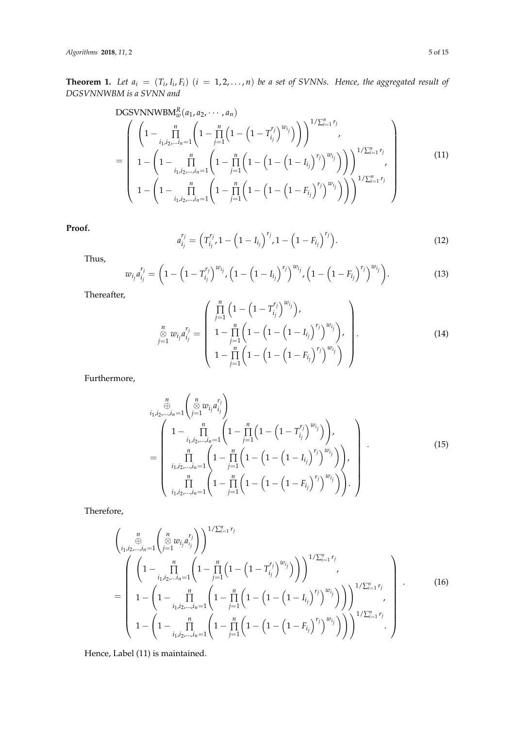*Algorithms* **2018**, *11*, 2 5 of 15

**Theorem 1.** Let  $a_i = (T_i, I_i, F_i)$   $(i = 1, 2, ..., n)$  be a set of SVNNs. Hence, the aggregated result of *DGSVNNWBM is a SVNN and*

DGSVNNWBM<sub>w</sub><sup>R</sup>(a<sub>1</sub>, a<sub>2</sub>, · · · , a<sub>n</sub>)  
\n
$$
= \begin{pmatrix}\n\left(1 - \prod_{i_1, i_2, \dots, i_n=1}^n \left(1 - \prod_{j=1}^n \left(1 - \left(1 - T_{i_j}^{r_j}\right)^{w_{i_j}}\right)\right)\right)^{1/\sum_{i=1}^n r_j}, \\
1 - \left(1 - \prod_{i_1, i_2, \dots, i_n=1}^n \left(1 - \prod_{j=1}^n \left(1 - \left(1 - \left(1 - I_{i_j}\right)^{r_j}\right)^{w_{i_j}}\right)\right)\right)^{1/\sum_{i=1}^n r_j}, \\
1 - \left(1 - \prod_{i_1, i_2, \dots, i_n=1}^n \left(1 - \prod_{j=1}^n \left(1 - \left(1 - \left(1 - I_{i_j}\right)^{r_j}\right)^{w_{i_j}}\right)\right)\right)^{1/\sum_{i=1}^n r_j}\n\end{pmatrix}
$$
\n(11)

**Proof.**

$$
a_{i_j}^{r_j} = \left(T_{i_j}^{r_j}, 1 - \left(1 - I_{i_j}\right)^{r_j}, 1 - \left(1 - F_{i_j}\right)^{r_j}\right). \tag{12}
$$

Thus,

$$
w_{i_j} a_{i_j}^{r_j} = \left(1 - \left(1 - T_{i_j}^{r_j}\right)^{w_{i_j}}, \left(1 - \left(1 - I_{i_j}\right)^{r_j}\right)^{w_{i_j}}, \left(1 - \left(1 - F_{i_j}\right)^{r_j}\right)^{w_{i_j}}\right).
$$
(13)

Thereafter,

$$
\sum_{j=1}^{n} w_{i_j} a_{i_j}^{r_j} = \begin{pmatrix} \prod_{j=1}^{n} \left( 1 - \left( 1 - T_{i_j}^{r_j} \right)^{w_{i_j}} \right), \\ 1 - \prod_{j=1}^{n} \left( 1 - \left( 1 - \left( 1 - I_{i_j} \right)^{r_j} \right)^{w_{i_j}} \right), \\ 1 - \prod_{j=1}^{n} \left( 1 - \left( 1 - \left( 1 - F_{i_j} \right)^{r_j} \right)^{w_{i_j}} \right) \end{pmatrix}.
$$
 (14)

Furthermore,

$$
\begin{split}\n&\underset{i_{1},i_{2},\dots,i_{n}=1}{\oplus} \left( \underset{j=1}{\overset{n}{\otimes}} w_{i_{j}} a_{i_{j}}^{r_{j}} \right) \\
&= \left( \begin{array}{c} 1 - \prod_{i_{1},i_{2},\dots,i_{n}=1}^{n} \left( 1 - \prod_{j=1}^{n} \left( 1 - \left( 1 - T_{i_{j}}^{r_{j}} \right)^{w_{i_{j}}} \right) \right), \\ \prod_{i_{1},i_{2},\dots,i_{n}=1}^{n} \left( 1 - \prod_{j=1}^{n} \left( 1 - \left( 1 - \left( 1 - I_{i_{j}} \right)^{r_{j}} \right)^{w_{i_{j}}} \right) \right), \\ \prod_{i_{1},i_{2},\dots,i_{n}=1}^{n} \left( 1 - \prod_{j=1}^{n} \left( 1 - \left( 1 - \left( 1 - F_{i_{j}} \right)^{r_{j}} \right)^{w_{i_{j}}} \right) \right). \end{array}\n\right). \n\end{split} \tag{15}
$$

Therefore,

$$
\begin{pmatrix}\n n \\
 \oplus \\
 i_1, i_2, \dots, i_n = 1 \n\end{pmatrix}\n\begin{pmatrix}\n n \\
 \oplus \\
 j = 1\n\end{pmatrix} w_{ij} a_{ij}^{r_j}\n\begin{pmatrix}\n 1/\sum_{i=1}^n r_i \\
 j = 1\n\end{pmatrix}
$$
\n
$$
= \n\begin{pmatrix}\n \left(1 - \prod_{i_1, i_2, \dots, i_n = 1}^n \left(1 - \prod_{j=1}^n \left(1 - \left(1 - T_{ij}^{r_j}\right)^{w_{ij}}\right)\right)\right)^{1/\sum_{i=1}^n r_j} \\
 1 - \left(1 - \prod_{i_1, i_2, \dots, i_n = 1}^n \left(1 - \prod_{j=1}^n \left(1 - \left(1 - \left(1 - I_{ij}\right)^{r_j}\right)^{w_{ij}}\right)\right)\right)\right)^{1/\sum_{i=1}^n r_j} \\
 1 - \left(1 - \prod_{i_1, i_2, \dots, i_n = 1}^n \left(1 - \prod_{j=1}^n \left(1 - \left(1 - \left(1 - F_{ij}\right)^{r_j}\right)^{w_{ij}}\right)\right)\right)^{1/\sum_{i=1}^n r_j} \\
 \cdot\n\end{pmatrix}.
$$
\n(16)

Hence, Label (11) is maintained.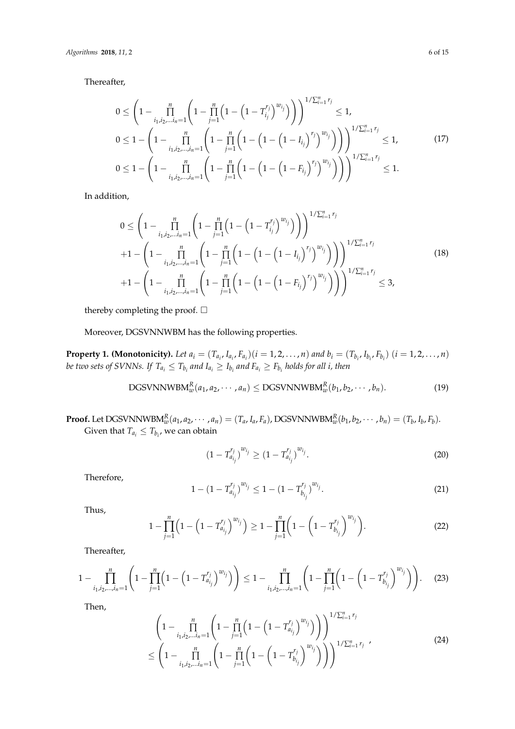Thereafter,

$$
0 \leq \left(1 - \prod_{i_1, i_2, \dots, i_n=1}^n \left(1 - \prod_{j=1}^n \left(1 - \left(1 - T_{i_j}^{r_j}\right)^{w_{i_j}}\right)\right)\right)^{1/\sum_{i=1}^n r_j} \leq 1,
$$
  
\n
$$
0 \leq 1 - \left(1 - \prod_{i_1, i_2, \dots, i_n=1}^n \left(1 - \prod_{j=1}^n \left(1 - \left(1 - \left(1 - I_{i_j}\right)^{r_j}\right)^{w_{i_j}}\right)\right)\right)^{1/\sum_{i=1}^n r_j} \leq 1,
$$
  
\n
$$
0 \leq 1 - \left(1 - \prod_{i_1, i_2, \dots, i_n=1}^n \left(1 - \prod_{j=1}^n \left(1 - \left(1 - \left(1 - F_{i_j}\right)^{r_j}\right)^{w_{i_j}}\right)\right)\right)^{1/\sum_{i=1}^n r_j} \leq 1.
$$
  
\n(17)

In addition,

$$
0 \leq \left(1 - \prod_{i_1, i_2, \dots, i_n=1}^n \left(1 - \prod_{j=1}^n \left(1 - \left(1 - T_{i_j}^{r_j}\right)^{w_{i_j}}\right)\right)\right)^{1/\sum_{i=1}^n r_j}
$$
  
+1 - \left(1 - \prod\_{i\_1, i\_2, \dots, i\_n=1}^n \left(1 - \prod\_{j=1}^n \left(1 - \left(1 - \left(1 - I\_{i\_j}\right)^{r\_j}\right)^{w\_{i\_j}}\right)\right)\right)^{1/\sum\_{i=1}^n r\_j}  
+1 - \left(1 - \prod\_{i\_1, i\_2, \dots, i\_n=1}^n \left(1 - \prod\_{j=1}^n \left(1 - \left(1 - \left(1 - F\_{i\_j}\right)^{r\_j}\right)^{w\_{i\_j}}\right)\right)\right)^{1/\sum\_{i=1}^n r\_j} \leq 3, (18)

thereby completing the proof.  $\Box$ 

Moreover, DGSVNNWBM has the following properties.

**Property 1. (Monotonicity).** Let  $a_i = (T_{a_i}, I_{a_i}, F_{a_i}) (i = 1, 2, ..., n)$  and  $b_i = (T_{b_i}, I_{b_i}, F_{b_i})$   $(i = 1, 2, ..., n)$ *be two sets of SVNNs. If*  $T_{a_i} \leq T_{b_i}$  and  $I_{a_i} \geq I_{b_i}$  and  $F_{a_i} \geq F_{b_i}$  holds for all i, then

DGSVNNWBM<sub>w</sub><sup>R</sup>(a<sub>1</sub>, a<sub>2</sub>, · · · , a<sub>n</sub>) 
$$
\leq
$$
 DGSVNNWBM<sub>w</sub><sup>R</sup>(b<sub>1</sub>, b<sub>2</sub>, · · · , b<sub>n</sub>). (19)

**Proof.** Let DGSVNNWBM $_{w}^{R}(a_1, a_2, \cdots, a_n) = (T_a, I_a, F_a)$ , DGSVNNWBM $_{w}^{R}(b_1, b_2, \cdots, b_n) = (T_b, I_b, F_b)$ . Given that  $T_{a_i} \leq T_{b_i}$ , we can obtain

$$
(1 - T_{a_{i_j}}^{r_j})^{w_{i_j}} \ge (1 - T_{a_{i_j}}^{r_j})^{w_{i_j}}.
$$
\n(20)

Therefore,

$$
1 - (1 - T_{a_{i_j}}^{r_j})^{w_{i_j}} \le 1 - (1 - T_{b_{i_j}}^{r_j})^{w_{i_j}}.
$$
\n(21)

Thus,

$$
1 - \prod_{j=1}^{n} \left( 1 - \left( 1 - T_{a_{i_j}}^{r_j} \right)^{w_{i_j}} \right) \ge 1 - \prod_{j=1}^{n} \left( 1 - \left( 1 - T_{b_{i_j}}^{r_j} \right)^{w_{i_j}} \right).
$$
 (22)

Thereafter,

$$
1 - \prod_{i_1, i_2, \dots, i_n = 1}^{n} \left( 1 - \prod_{j=1}^{n} \left( 1 - \left( 1 - T_{a_{i_j}}^{r_j} \right)^{w_{i_j}} \right) \right) \le 1 - \prod_{i_1, i_2, \dots, i_n = 1}^{n} \left( 1 - \prod_{j=1}^{n} \left( 1 - \left( 1 - T_{b_{i_j}}^{r_j} \right)^{w_{i_j}} \right) \right).
$$
 (23)

Then,

$$
\left(1 - \prod_{i_1, i_2, \dots, i_n=1}^n \left(1 - \prod_{j=1}^n \left(1 - \left(1 - T_{a_{i_j}}^{r_j}\right)^{w_{i_j}}\right)\right)\right)^{1/\sum_{i=1}^n r_j} \le \left(1 - \prod_{i_1, i_2, \dots, i_n=1}^n \left(1 - \prod_{j=1}^n \left(1 - \left(1 - T_{b_{i_j}}^{r_j}\right)^{w_{i_j}}\right)\right)\right)^{1/\sum_{i=1}^n r_j} \tag{24}
$$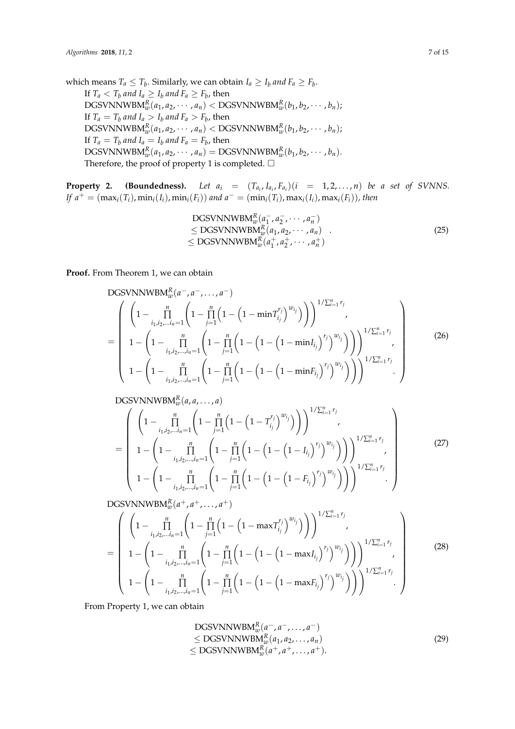which means  $T_a \leq T_b$ . Similarly, we can obtain  $I_a \geq I_b$  and  $F_a \geq F_b$ . If  $T_a < T_b$  and  $I_a \geq I_b$  and  $F_a \geq F_b$ , then  $\text{DGSVNNWBM}_{w}^{R}(a_1, a_2, \cdots, a_n) < \text{DGSVNNWBM}_{w}^{R}(b_1, b_2, \cdots, b_n);$ If  $T_a = T_b$  and  $I_a > I_b$  and  $F_a > F_b$ , then  $\text{DGSVNNWBM}_{w}^{R}(a_1, a_2, \cdots, a_n) < \text{DGSVNNWBM}_{w}^{R}(b_1, b_2, \cdots, b_n);$ If  $T_a = T_b$  and  $I_a = I_b$  and  $F_a = F_b$ , then  $\text{DGSVNNWBM}_{w}^{R}(a_1, a_2, \cdots, a_n) = \text{DGSVNNWBM}_{w}^{R}(b_1, b_2, \cdots, b_n).$ Therefore, the proof of property 1 is completed.  $\Box$ 

**Property 2.** (Boundedness). Let  $a_i = (T_{a_i}, I_{a_i}, F_{a_i}) (i = 1, 2, ..., n)$  be a set of SVNNS. If  $a^+ = (\max_i(T_i), \min_i(I_i), \min_i(F_i))$  and  $a^- = (\min_i(T_i), \max_i(I_i), \max_i(F_i))$ , then

$$
DGSVNNWBM_w^R(a_1^-, a_2^-, \cdots, a_n^-)
$$
  
\n
$$
\leq DGSVNNWBM_w^R(a_1, a_2, \cdots, a_n)
$$
  
\n
$$
\leq DGSVNNWBM_w^R(a_1^+, a_2^+, \cdots, a_n^+)
$$
\n(25)

**Proof.** From Theorem 1, we can obtain

DGSVNNWBM<sub>w</sub><sup>R</sup>(a<sup>-</sup>, a<sup>-</sup>,..., a<sup>-</sup>)  
\n
$$
= \begin{pmatrix}\n\left(1 - \prod_{i_1,i_2,...i_n=1}^n \left(1 - \prod_{j=1}^n \left(1 - \left(1 - \min T_{i_j}^{r_j}\right)^{w_{i_j}}\right)\right)\right)^{1/\sum_{i=1}^n r_j} \\
1 - \left(1 - \prod_{i_1,i_2,...i_n=1}^n \left(1 - \prod_{j=1}^n \left(1 - \left(1 - \left(1 - \min I_{i_j}\right)^{r_j}\right)^{w_{i_j}}\right)\right)\right)^{1/\sum_{i=1}^n r_j} \\
1 - \left(1 - \prod_{i_1,i_2,...i_n=1}^n \left(1 - \prod_{j=1}^n \left(1 - \left(1 - \left(1 - \min F_{i_j}\right)^{r_j}\right)^{w_{i_j}}\right)\right)\right)^{1/\sum_{i=1}^n r_j} \\
1 - \left(1 - \prod_{i_1,i_2,...i_n=1}^n \left(1 - \prod_{j=1}^n \left(1 - \left(1 - \left(1 - \min F_{i_j}\right)^{r_j}\right)^{w_{i_j}}\right)\right)\right)^{1/\sum_{i=1}^n r_j} \\
\end{pmatrix}
$$
\n(26)

$$
DGSVNNWBM_w^R(a,a,\ldots,a)
$$

$$
= \left(\begin{array}{c} \left(1-\prod_{i_{1},i_{2},\ldots,i_{n}=1}^{n}\left(1-\prod_{j=1}^{n}\left(1-\left(1-T_{i_{j}}^{r_{j}}\right)^{w_{i_{j}}}\right)\right)\right)^{1/\sum_{i=1}^{n}r_{j}}\\ 1-\left(1-\prod_{i_{1},i_{2},\ldots,i_{n}=1}^{n}\left(1-\prod_{j=1}^{n}\left(1-\left(1-\left(1-I_{i_{j}}\right)^{r_{j}}\right)^{w_{i_{j}}}\right)\right)\right)^{1/\sum_{i=1}^{n}r_{j}}\\ 1-\left(1-\prod_{i_{1},i_{2},\ldots,i_{n}=1}^{n}\left(1-\prod_{j=1}^{n}\left(1-\left(1-\left(1-F_{i_{j}}\right)^{r_{j}}\right)^{w_{i_{j}}}\right)\right)\right)^{1/\sum_{i=1}^{n}r_{j}}\\ \end{array}\right) \tag{27}
$$

DGSVNNWBM $_{w}^{R}(a^{+}, a^{+}, \ldots, a^{+})$ 

$$
= \left(\begin{array}{c} \left(1-\prod_{i_{1},i_{2},...,i_{n}=1}^{n}\left(1-\prod_{j=1}^{n}\left(1-\left(1-\max T_{i_{j}}^{r_{j}}\right)^{w_{i_{j}}}\right)\right)\right)^{1/\sum_{i=1}^{n}r_{j}}\\ 1-\left(1-\prod_{i_{1},i_{2},...,i_{n}=1}^{n}\left(1-\prod_{j=1}^{n}\left(1-\left(1-\left(1-\max I_{i_{j}}\right)^{r_{j}}\right)^{w_{i_{j}}}\right)\right)\right)^{1/\sum_{i=1}^{n}r_{j}}\\ 1-\left(1-\prod_{i_{1},i_{2},...,i_{n}=1}^{n}\left(1-\prod_{j=1}^{n}\left(1-\left(1-\left(1-\max F_{i_{j}}\right)^{r_{j}}\right)^{w_{i_{j}}}\right)\right)\right)^{1/\sum_{i=1}^{n}r_{j}}\right) \end{array}\right)
$$
(28)

From Property 1, we can obtain

DGSVNNWBM<sub>w</sub><sup>R</sup> 
$$
(a^-, a^-, \dots, a^-)
$$
  
\n $\le$  DGSVNNWBM<sub>w</sub><sup>R</sup>  $(a_1, a_2, \dots, a_n)$   
\n $\le$  DGSVNNWBM<sub>w</sub><sup>R</sup>  $(a^+, a^+, \dots, a^+)$ . (29)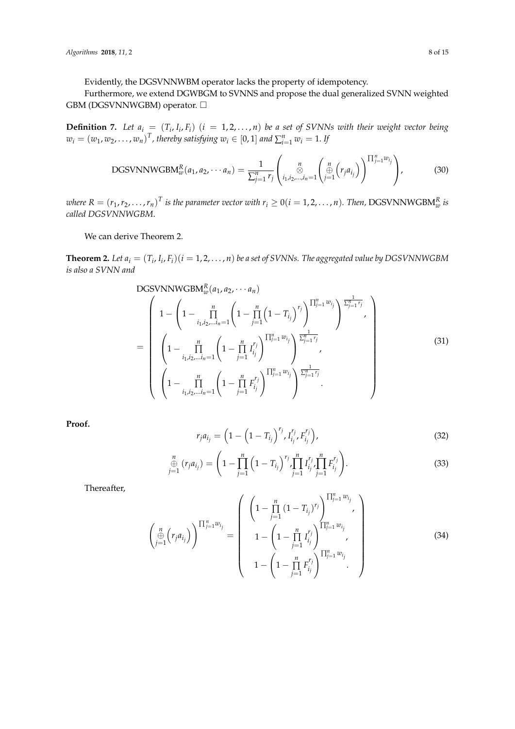Evidently, the DGSVNNWBM operator lacks the property of idempotency.

Furthermore, we extend DGWBGM to SVNNS and propose the dual generalized SVNN weighted GBM (DGSVNNWGBM) operator. □

**Definition 7.** Let  $a_i = (T_i, I_i, F_i)$   $(i = 1, 2, ..., n)$  be a set of SVNNs with their weight vector being  $w_i = (w_1, w_2, \dots, w_n)^T$ , thereby satisfying  $w_i \in [0, 1]$  and  $\sum_{i=1}^n w_i = 1$ . If

DGSVNNWGBM<sub>w</sub><sup>R</sup>(a<sub>1</sub>, a<sub>2</sub>, · · · a<sub>n</sub>) = 
$$
\frac{1}{\sum_{j=1}^{n} r_j} \left( \underset{i_1, i_2, \ldots, i_n=1}{\overset{n}{\otimes}} \left( \underset{j=1}{\overset{n}{\oplus}} \left( r_j a_{i_j} \right) \right)^{\prod_{j=1}^{n} w_{i_j}} \right),
$$
(30)

where  $R = (r_1, r_2, \ldots, r_n)^T$  is the parameter vector with  $r_i \geq 0 (i = 1, 2, \ldots, n)$ . Then, DGSVNNWGBM $_{w}^R$  is *called DGSVNNWGBM*.

We can derive Theorem 2.

**Theorem 2.** Let  $a_i = (T_i, I_i, F_i)$   $(i = 1, 2, ..., n)$  be a set of SVNNs. The aggregated value by DGSVNNWGBM *is also a SVNN and*

DGSVNNWGBM<sub>w</sub><sup>R</sup>(a<sub>1</sub>, a<sub>2</sub>, · · · a<sub>n</sub>)  
\n
$$
= \begin{pmatrix}\n1 - \left(1 - \prod_{i_1, i_2, \dots, i_n=1}^n \left(1 - \prod_{j=1}^n \left(1 - T_{i_j}\right)^{r_j}\right)^{\prod_{j=1}^n w_{i_j}}\right)^{\frac{1}{\sum_{j=1}^n r_j}},\\
\left(1 - \prod_{i_1, i_2, \dots, i_n=1}^n \left(1 - \prod_{j=1}^n I_{i_j}^{r_j}\right)^{\prod_{j=1}^n w_{i_j}}\right)^{\frac{1}{\sum_{j=1}^n r_j}},\\
\left(1 - \prod_{i_1, i_2, \dots, i_n=1}^n \left(1 - \prod_{j=1}^n F_{i_j}^{r_j}\right)^{\prod_{j=1}^n w_{i_j}}\right)^{\frac{1}{\sum_{j=1}^n r_j}}.\n\end{pmatrix}
$$
\n(31)

**Proof.**

$$
r_j a_{i_j} = \left(1 - \left(1 - T_{i_j}\right)^{r_j}, I_{i_j}^{r_j}, F_{i_j}^{r_j}\right),\tag{32}
$$

$$
\bigoplus_{j=1}^{n} (r_{j}a_{i_{j}}) = \left(1 - \prod_{j=1}^{n} \left(1 - T_{i_{j}}\right)^{r_{j}} \prod_{j=1}^{n} I_{i_{j}}^{r_{j}} \prod_{j=1}^{n} F_{i_{j}}^{r_{j}}\right).
$$
\n(33)

Thereafter,

$$
\begin{pmatrix}\n\begin{pmatrix}\n\mu \\
\frac{\partial}{\partial y}\n\end{pmatrix}\n\begin{pmatrix}\n\frac{n}{j-1}w_{ij} \\
\frac{n}{j-1}w_{ij}\n\end{pmatrix} =\n\begin{pmatrix}\n\left(1 - \prod_{j=1}^{n} (1 - T_{i_j})^{r_j}\right)^{\prod_{j=1}^{n} w_{i_j}} \\
1 - \left(1 - \prod_{j=1}^{n} I_{i_j}^{r_j}\right)^{\prod_{j=1}^{n} w_{i_j}} \\
1 - \left(1 - \prod_{j=1}^{n} F_{i_j}^{r_j}\right)^{\prod_{j=1}^{n} w_{i_j}}\n\end{pmatrix}
$$
\n(34)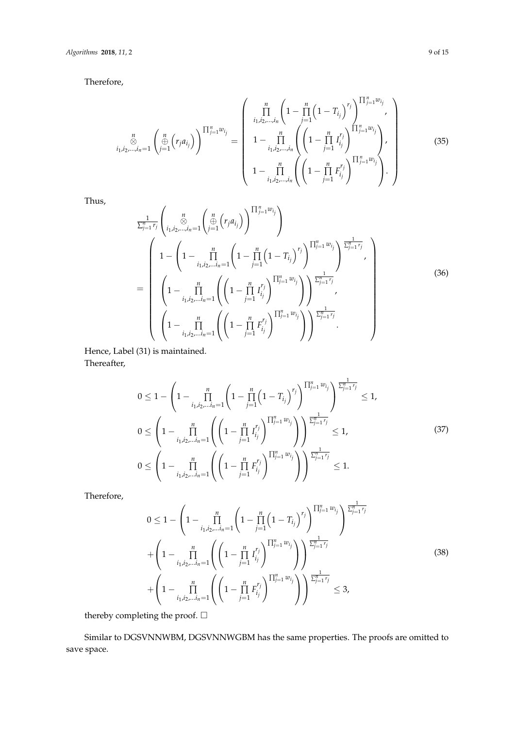Therefore,

$$
\sum_{i_1, i_2, \dots, i_n=1}^n \left( \bigoplus_{j=1}^n \left( r_j a_{i_j} \right) \right)^{\prod_{j=1}^n w_{i_j}} = \left( \begin{array}{c} \prod_{i_1, i_2, \dots, i_n} \left( 1 - \prod_{j=1}^n \left( 1 - T_{i_j} \right)^{r_j} \right)^{\prod_{j=1}^n w_{i_j}} \\ 1 - \prod_{i_1, i_2, \dots, i_n}^n \left( \left( 1 - \prod_{j=1}^n I_{i_j}^{r_j} \right)^{\prod_{j=1}^n w_{i_j}} \right), \\ 1 - \prod_{i_1, i_2, \dots, i_n}^n \left( \left( 1 - \prod_{j=1}^n F_{i_j}^{r_j} \right)^{\prod_{j=1}^n w_{i_j}} \right). \end{array} \right) \tag{35}
$$

Thus,

$$
\frac{1}{\sum_{j=1}^{n} r_j} \left( \bigotimes_{i_1, i_2, \dots, i_n=1}^{n} \left( \bigoplus_{j=1}^{n} \left( r_j a_{i_j} \right) \right)^{\prod_{j=1}^{n} w_{i_j}} \right)
$$
\n
$$
= \left( 1 - \left( 1 - \prod_{i_1, i_2, \dots, i_n=1}^{n} \left( 1 - \prod_{j=1}^{n} \left( 1 - T_{i_j} \right)^{r_j} \right)^{\prod_{j=1}^{n} w_{i_j}} \right)^{\frac{1}{\sum_{j=1}^{n} r_j}},
$$
\n
$$
= \left( 1 - \prod_{i_1, i_2, \dots, i_n=1}^{n} \left( \left( 1 - \prod_{j=1}^{n} I_{i_j}^{r_j} \right)^{\prod_{j=1}^{n} w_{i_j}} \right) \right)^{\frac{1}{\sum_{j=1}^{n} r_j}},
$$
\n
$$
\left( 1 - \prod_{i_1, i_2, \dots, i_n=1}^{n} \left( \left( 1 - \prod_{j=1}^{n} F_{i_j}^{r_j} \right)^{\prod_{j=1}^{n} w_{i_j}} \right) \right)^{\frac{1}{\sum_{j=1}^{n} r_j}}.
$$
\n
$$
(36)
$$

Hence, Label (31) is maintained. Thereafter,

$$
0 \leq 1 - \left(1 - \prod_{i_1, i_2, \dots, i_n=1}^n \left(1 - \prod_{j=1}^n \left(1 - T_{i_j}\right)^{r_j}\right)^{\prod_{j=1}^n w_{i_j}}\right)^{\frac{1}{\sum_{j=1}^n r_j}} \leq 1,
$$
  
\n
$$
0 \leq \left(1 - \prod_{i_1, i_2, \dots, i_n=1}^n \left(\left(1 - \prod_{j=1}^n I_{i_j}^{r_j}\right)^{\prod_{j=1}^n w_{i_j}}\right)\right)^{\frac{1}{\sum_{j=1}^n r_j}} \leq 1,
$$
  
\n
$$
0 \leq \left(1 - \prod_{i_1, i_2, \dots, i_n=1}^n \left(\left(1 - \prod_{j=1}^n F_{i_j}^{r_j}\right)^{\prod_{j=1}^n w_{i_j}}\right)\right)^{\frac{1}{\sum_{j=1}^n r_j}} \leq 1.
$$
  
\n(37)

Therefore,

$$
0 \leq 1 - \left(1 - \prod_{i_1, i_2, \dots, i_n=1}^n \left(1 - \prod_{j=1}^n \left(1 - T_{i_j}\right)^{r_j}\right)^{\prod_{j=1}^n w_{i_j}}\right)^{\frac{1}{\sum_{j=1}^n r_j}}
$$
  
+ 
$$
\left(1 - \prod_{i_1, i_2, \dots, i_n=1}^n \left(\left(1 - \prod_{j=1}^n I_{i_j}^{r_j}\right)^{\prod_{j=1}^n w_{i_j}}\right)\right)^{\frac{1}{\sum_{j=1}^n r_j}}
$$
  
+ 
$$
\left(1 - \prod_{i_1, i_2, \dots, i_n=1}^n \left(\left(1 - \prod_{j=1}^n F_{i_j}^{r_j}\right)^{\prod_{j=1}^n w_{i_j}}\right)\right)^{\frac{1}{\sum_{j=1}^n r_j}} \leq 3,
$$
 (38)

thereby completing the proof.  $\Box$ 

Similar to DGSVNNWBM, DGSVNNWGBM has the same properties. The proofs are omitted to save space.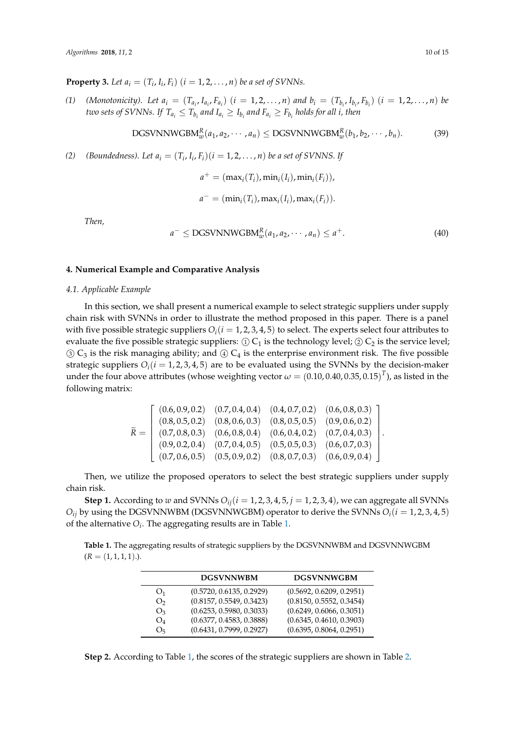**Property 3.** Let  $a_i = (T_i, I_i, F_i)$   $(i = 1, 2, ..., n)$  be a set of SVNNs.

(1) (Monotonicity). Let  $a_i = (T_{a_i}, I_{a_i}, F_{a_i})$   $(i = 1, 2, ..., n)$  and  $b_i = (T_{b_i}, I_{b_i}, F_{b_i})$   $(i = 1, 2, ..., n)$  be *two sets of SVNNs. If*  $T_{a_i} \leq T_{b_i}$  *and*  $I_{a_i} \geq I_{b_i}$  *and*  $F_{a_i} \geq F_{b_i}$  *holds for all i, then* 

DGSVNNWGBM<sub>w</sub><sup>R</sup>(a<sub>1</sub>, a<sub>2</sub>, · · · , a<sub>n</sub>) 
$$
\leq
$$
 DGSVNNWGBM<sub>w</sub><sup>R</sup>(b<sub>1</sub>, b<sub>2</sub>, · · · , b<sub>n</sub>). (39)

*(2) (Boundedness). Let*  $a_i = (T_i, I_i, F_i)(i = 1, 2, ..., n)$  *be a set of SVNNS. If* 

$$
a^{+} = (\max_{i}(T_i), \min_{i}(I_i), \min_{i}(F_i)),
$$
  

$$
a^{-} = (\min_{i}(T_i), \max_{i}(I_i), \max_{i}(F_i)).
$$

*Then,*

$$
a^{-} \leq \text{DGSUNNWGBM}_{w}^{R}(a_{1}, a_{2}, \cdots, a_{n}) \leq a^{+}.
$$
\n
$$
(40)
$$

# <span id="page-9-0"></span>**4. Numerical Example and Comparative Analysis**

#### *4.1. Applicable Example*

In this section, we shall present a numerical example to select strategic suppliers under supply chain risk with SVNNs in order to illustrate the method proposed in this paper. There is a panel with five possible strategic suppliers  $O_i(i = 1, 2, 3, 4, 5)$  to select. The experts select four attributes to evaluate the five possible strategic suppliers:  $\textcircled{1} C_1$  is the technology level;  $\textcircled{2} C_2$  is the service level;  $\circled{3}$  C<sub>3</sub> is the risk managing ability; and  $\circled{4}$  C<sub>4</sub> is the enterprise environment risk. The five possible strategic suppliers  $O_i(i = 1, 2, 3, 4, 5)$  are to be evaluated using the SVNNs by the decision-maker under the four above attributes (whose weighting vector  $\omega = (0.10, 0.40, 0.35, 0.15)^T$ ), as listed in the following matrix:

$$
\widetilde{R} = \begin{bmatrix}\n(0.6, 0.9, 0.2) & (0.7, 0.4, 0.4) & (0.4, 0.7, 0.2) & (0.6, 0.8, 0.3) \\
(0.8, 0.5, 0.2) & (0.8, 0.6, 0.3) & (0.8, 0.5, 0.5) & (0.9, 0.6, 0.2) \\
(0.7, 0.8, 0.3) & (0.6, 0.8, 0.4) & (0.6, 0.4, 0.2) & (0.7, 0.4, 0.3) \\
(0.9, 0.2, 0.4) & (0.7, 0.4, 0.5) & (0.5, 0.5, 0.3) & (0.6, 0.7, 0.3) \\
(0.7, 0.6, 0.5) & (0.5, 0.9, 0.2) & (0.8, 0.7, 0.3) & (0.6, 0.9, 0.4)\n\end{bmatrix}
$$

Then, we utilize the proposed operators to select the best strategic suppliers under supply chain risk.

**Step 1.** According to *w* and SVNNs  $O_{ij}$  ( $i = 1, 2, 3, 4, 5, j = 1, 2, 3, 4$ ), we can aggregate all SVNNs  $O_i$ *i* by using the DGSVNNWBM (DGSVNNWGBM) operator to derive the SVNNs  $O_i$  ( $i = 1, 2, 3, 4, 5$ ) of the alternative  $O_i$ . The aggregating results are in Table [1.](#page-9-1)

<span id="page-9-1"></span>**Table 1.** The aggregating results of strategic suppliers by the DGSVNNWBM and DGSVNNWGBM  $(R = (1, 1, 1, 1).).$ 

|                | <b>DGSVNNWBM</b>         | <b>DGSVNNWGBM</b>        |
|----------------|--------------------------|--------------------------|
| O <sub>1</sub> | (0.5720, 0.6135, 0.2929) | (0.5692, 0.6209, 0.2951) |
| O <sub>2</sub> | (0.8157, 0.5549, 0.3423) | (0.8150, 0.5552, 0.3454) |
| O <sub>3</sub> | (0.6253, 0.5980, 0.3033) | (0.6249, 0.6066, 0.3051) |
| $O_4$          | (0.6377, 0.4583, 0.3888) | (0.6345, 0.4610, 0.3903) |
| O <sub>5</sub> | (0.6431, 0.7999, 0.2927) | (0.6395, 0.8064, 0.2951) |

**Step 2.** According to Table [1,](#page-9-1) the scores of the strategic suppliers are shown in Table [2.](#page-10-0)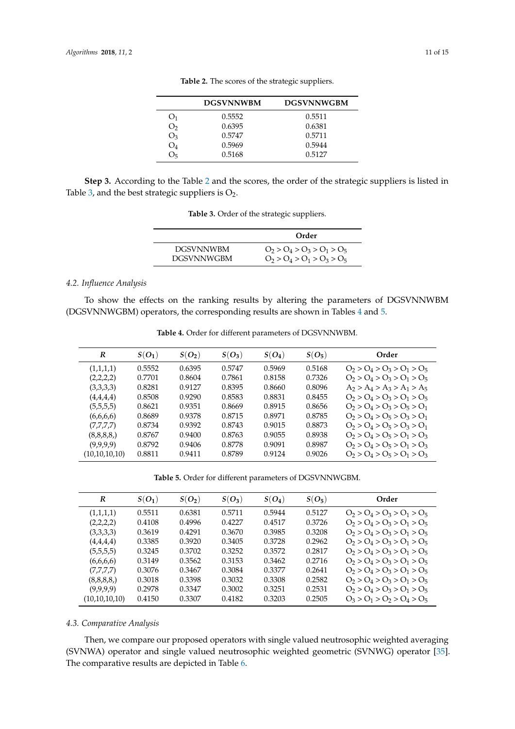<span id="page-10-0"></span>

|                | <b>DGSVNNWBM</b> | <b>DGSVNNWGBM</b> |
|----------------|------------------|-------------------|
| O <sub>1</sub> | 0.5552           | 0.5511            |
| O <sub>2</sub> | 0.6395           | 0.6381            |
| $O_3$          | 0.5747           | 0.5711            |
| $O_4$          | 0.5969           | 0.5944            |
| O <sub>5</sub> | 0.5168           | 0.5127            |

**Table 2.** The scores of the strategic suppliers.

<span id="page-10-1"></span>**Step 3.** According to the Table [2](#page-10-0) and the scores, the order of the strategic suppliers is listed in Table [3,](#page-10-1) and the best strategic suppliers is  $O_2$ .

|                  | Order                         |
|------------------|-------------------------------|
| <b>DGSVNNWBM</b> | $O_2 > O_4 > O_3 > O_1 > O_5$ |
| DGSVNNWGBM       | $O_2 > O_4 > O_1 > O_3 > O_5$ |

**Table 3.** Order of the strategic suppliers.

# *4.2. Influence Analysis*

<span id="page-10-2"></span>To show the effects on the ranking results by altering the parameters of DGSVNNWBM (DGSVNNWGBM) operators, the corresponding results are shown in Tables [4](#page-10-2) and [5.](#page-10-3)

| R             | $S(O_1)$ | $S(O_2)$ | $S(O_3)$ | $S(O_4)$ | $S(O_5)$ | Order                         |
|---------------|----------|----------|----------|----------|----------|-------------------------------|
| (1,1,1,1)     | 0.5552   | 0.6395   | 0.5747   | 0.5969   | 0.5168   | $O_2 > O_4 > O_3 > O_1 > O_5$ |
| (2,2,2,2)     | 0.7701   | 0.8604   | 0.7861   | 0.8158   | 0.7326   | $O_2 > O_4 > O_3 > O_1 > O_5$ |
| (3,3,3,3)     | 0.8281   | 0.9127   | 0.8395   | 0.8660   | 0.8096   | $A_2 > A_4 > A_3 > A_1 > A_5$ |
| (4,4,4,4)     | 0.8508   | 0.9290   | 0.8583   | 0.8831   | 0.8455   | $O_2 > O_4 > O_3 > O_1 > O_5$ |
| (5,5,5,5)     | 0.8621   | 0.9351   | 0.8669   | 0.8915   | 0.8656   | $O_2 > O_4 > O_3 > O_5 > O_1$ |
| (6,6,6,6)     | 0.8689   | 0.9378   | 0.8715   | 0.8971   | 0.8785   | $O_2 > O_4 > O_5 > O_3 > O_1$ |
| (7,7,7,7)     | 0.8734   | 0.9392   | 0.8743   | 0.9015   | 0.8873   | $O_2 > O_4 > O_5 > O_3 > O_1$ |
| (8,8,8,8)     | 0.8767   | 0.9400   | 0.8763   | 0.9055   | 0.8938   | $O_2 > O_4 > O_5 > O_1 > O_3$ |
| (9,9,9,9)     | 0.8792   | 0.9406   | 0.8778   | 0.9091   | 0.8987   | $O_2 > O_4 > O_5 > O_1 > O_3$ |
| (10,10,10,10) | 0.8811   | 0.9411   | 0.8789   | 0.9124   | 0.9026   | $O_2 > O_4 > O_5 > O_1 > O_3$ |

**Table 4.** Order for different parameters of DGSVNNWBM.

**Table 5.** Order for different parameters of DGSVNNWGBM.

<span id="page-10-3"></span>

| R             | $S(O_1)$ | $S(O_2)$ | $S(O_3)$ | $S(O_4)$ | $S(O_5)$ | Order                         |
|---------------|----------|----------|----------|----------|----------|-------------------------------|
| (1,1,1,1)     | 0.5511   | 0.6381   | 0.5711   | 0.5944   | 0.5127   | $O_2 > O_4 > O_3 > O_1 > O_5$ |
| (2,2,2,2)     | 0.4108   | 0.4996   | 0.4227   | 0.4517   | 0.3726   | $O_2 > O_4 > O_3 > O_1 > O_5$ |
| (3,3,3,3)     | 0.3619   | 0.4291   | 0.3670   | 0.3985   | 0.3208   | $O_2 > O_4 > O_3 > O_1 > O_5$ |
| (4,4,4,4)     | 0.3385   | 0.3920   | 0.3405   | 0.3728   | 0.2962   | $O_2 > O_4 > O_3 > O_1 > O_5$ |
| (5,5,5,5)     | 0.3245   | 0.3702   | 0.3252   | 0.3572   | 0.2817   | $O_2 > O_4 > O_3 > O_1 > O_5$ |
| (6,6,6,6)     | 0.3149   | 0.3562   | 0.3153   | 0.3462   | 0.2716   | $O_2 > O_4 > O_3 > O_1 > O_5$ |
| (7,7,7,7)     | 0.3076   | 0.3467   | 0.3084   | 0.3377   | 0.2641   | $O_2 > O_4 > O_3 > O_1 > O_5$ |
| (8,8,8,8)     | 0.3018   | 0.3398   | 0.3032   | 0.3308   | 0.2582   | $O_2 > O_4 > O_3 > O_1 > O_5$ |
| (9,9,9,9)     | 0.2978   | 0.3347   | 0.3002   | 0.3251   | 0.2531   | $O_2 > O_4 > O_3 > O_1 > O_5$ |
| (10,10,10,10) | 0.4150   | 0.3307   | 0.4182   | 0.3203   | 0.2505   | $O_3 > O_1 > O_2 > O_4 > O_5$ |
|               |          |          |          |          |          |                               |

# *4.3. Comparative Analysis*

Then, we compare our proposed operators with single valued neutrosophic weighted averaging (SVNWA) operator and single valued neutrosophic weighted geometric (SVNWG) operator [\[35\]](#page-13-0). The comparative results are depicted in Table [6.](#page-11-11)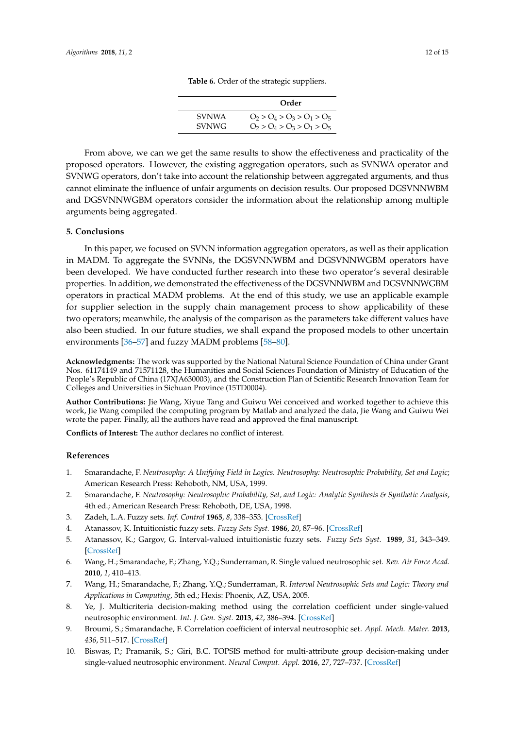|              | Order                         |
|--------------|-------------------------------|
| <b>SVNWA</b> | $O_2 > O_4 > O_3 > O_1 > O_5$ |
| <b>SVNWG</b> | $O_2 > O_4 > O_3 > O_1 > O_5$ |

**Table 6.** Order of the strategic suppliers.

<span id="page-11-11"></span>From above, we can we get the same results to show the effectiveness and practicality of the proposed operators. However, the existing aggregation operators, such as SVNWA operator and SVNWG operators, don't take into account the relationship between aggregated arguments, and thus cannot eliminate the influence of unfair arguments on decision results. Our proposed DGSVNNWBM and DGSVNNWGBM operators consider the information about the relationship among multiple arguments being aggregated.

#### <span id="page-11-10"></span>**5. Conclusions**

In this paper, we focused on SVNN information aggregation operators, as well as their application in MADM. To aggregate the SVNNs, the DGSVNNWBM and DGSVNNWGBM operators have been developed. We have conducted further research into these two operator's several desirable properties. In addition, we demonstrated the effectiveness of the DGSVNNWBM and DGSVNNWGBM operators in practical MADM problems. At the end of this study, we use an applicable example for supplier selection in the supply chain management process to show applicability of these two operators; meanwhile, the analysis of the comparison as the parameters take different values have also been studied. In our future studies, we shall expand the proposed models to other uncertain environments [\[36](#page-13-1)[–57\]](#page-13-2) and fuzzy MADM problems [\[58–](#page-13-3)[80\]](#page-14-0).

**Acknowledgments:** The work was supported by the National Natural Science Foundation of China under Grant Nos. 61174149 and 71571128, the Humanities and Social Sciences Foundation of Ministry of Education of the People's Republic of China (17XJA630003), and the Construction Plan of Scientific Research Innovation Team for Colleges and Universities in Sichuan Province (15TD0004).

**Author Contributions:** Jie Wang, Xiyue Tang and Guiwu Wei conceived and worked together to achieve this work, Jie Wang compiled the computing program by Matlab and analyzed the data, Jie Wang and Guiwu Wei wrote the paper. Finally, all the authors have read and approved the final manuscript.

**Conflicts of Interest:** The author declares no conflict of interest.

#### **References**

- <span id="page-11-0"></span>1. Smarandache, F. *Neutrosophy: A Unifying Field in Logics. Neutrosophy: Neutrosophic Probability, Set and Logic*; American Research Press: Rehoboth, NM, USA, 1999.
- <span id="page-11-1"></span>2. Smarandache, F. *Neutrosophy: Neutrosophic Probability, Set, and Logic: Analytic Synthesis & Synthetic Analysis*, 4th ed.; American Research Press: Rehoboth, DE, USA, 1998.
- <span id="page-11-2"></span>3. Zadeh, L.A. Fuzzy sets. *Inf. Control* **1965**, *8*, 338–353. [\[CrossRef\]](http://dx.doi.org/10.1016/S0019-9958(65)90241-X)
- <span id="page-11-3"></span>4. Atanassov, K. Intuitionistic fuzzy sets. *Fuzzy Sets Syst.* **1986**, *20*, 87–96. [\[CrossRef\]](http://dx.doi.org/10.1016/S0165-0114(86)80034-3)
- <span id="page-11-4"></span>5. Atanassov, K.; Gargov, G. Interval-valued intuitionistic fuzzy sets. *Fuzzy Sets Syst.* **1989**, *31*, 343–349. [\[CrossRef\]](http://dx.doi.org/10.1016/0165-0114(89)90205-4)
- <span id="page-11-5"></span>6. Wang, H.; Smarandache, F.; Zhang, Y.Q.; Sunderraman, R. Single valued neutrosophic set. *Rev. Air Force Acad.* **2010**, *1*, 410–413.
- <span id="page-11-6"></span>7. Wang, H.; Smarandache, F.; Zhang, Y.Q.; Sunderraman, R. *Interval Neutrosophic Sets and Logic: Theory and Applications in Computing*, 5th ed.; Hexis: Phoenix, AZ, USA, 2005.
- <span id="page-11-7"></span>8. Ye, J. Multicriteria decision-making method using the correlation coefficient under single-valued neutrosophic environment. *Int. J. Gen. Syst.* **2013**, *42*, 386–394. [\[CrossRef\]](http://dx.doi.org/10.1080/03081079.2012.761609)
- <span id="page-11-8"></span>9. Broumi, S.; Smarandache, F. Correlation coefficient of interval neutrosophic set. *Appl. Mech. Mater.* **2013**, *436*, 511–517. [\[CrossRef\]](http://dx.doi.org/10.4028/www.scientific.net/AMM.436.511)
- <span id="page-11-9"></span>10. Biswas, P.; Pramanik, S.; Giri, B.C. TOPSIS method for multi-attribute group decision-making under single-valued neutrosophic environment. *Neural Comput. Appl.* **2016**, *27*, 727–737. [\[CrossRef\]](http://dx.doi.org/10.1007/s00521-015-1891-2)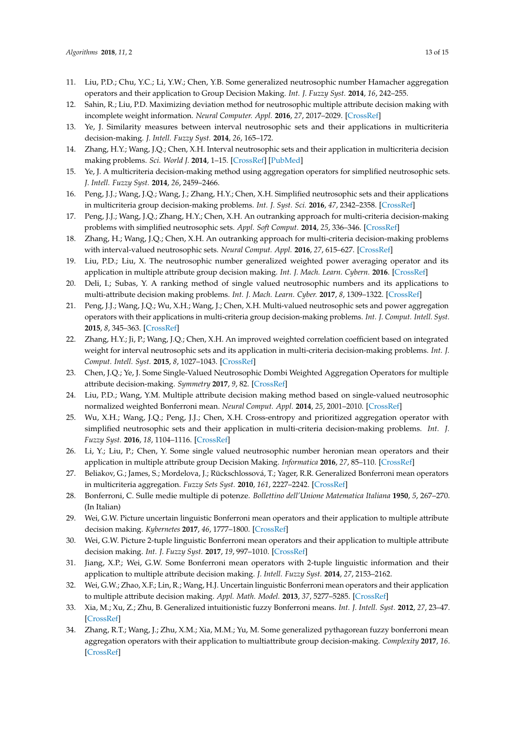- <span id="page-12-0"></span>11. Liu, P.D.; Chu, Y.C.; Li, Y.W.; Chen, Y.B. Some generalized neutrosophic number Hamacher aggregation operators and their application to Group Decision Making. *Int. J. Fuzzy Syst.* **2014**, *16*, 242–255.
- <span id="page-12-1"></span>12. Sahin, R.; Liu, P.D. Maximizing deviation method for neutrosophic multiple attribute decision making with incomplete weight information. *Neural Computer. Appl.* **2016**, *27*, 2017–2029. [\[CrossRef\]](http://dx.doi.org/10.1007/s00521-015-1995-8)
- <span id="page-12-2"></span>13. Ye, J. Similarity measures between interval neutrosophic sets and their applications in multicriteria decision-making. *J. Intell. Fuzzy Syst.* **2014**, *26*, 165–172.
- <span id="page-12-3"></span>14. Zhang, H.Y.; Wang, J.Q.; Chen, X.H. Interval neutrosophic sets and their application in multicriteria decision making problems. *Sci. World J.* **2014**, 1–15. [\[CrossRef\]](http://dx.doi.org/10.1155/2014/645953) [\[PubMed\]](http://www.ncbi.nlm.nih.gov/pubmed/24695916)
- <span id="page-12-4"></span>15. Ye, J. A multicriteria decision-making method using aggregation operators for simplified neutrosophic sets. *J. Intell. Fuzzy Syst.* **2014**, *26*, 2459–2466.
- <span id="page-12-5"></span>16. Peng, J.J.; Wang, J.Q.; Wang, J.; Zhang, H.Y.; Chen, X.H. Simplified neutrosophic sets and their applications in multicriteria group decision-making problems. *Int. J. Syst. Sci.* **2016**, *47*, 2342–2358. [\[CrossRef\]](http://dx.doi.org/10.1080/00207721.2014.994050)
- <span id="page-12-6"></span>17. Peng, J.J.; Wang, J.Q.; Zhang, H.Y.; Chen, X.H. An outranking approach for multi-criteria decision-making problems with simplified neutrosophic sets. *Appl. Soft Comput.* **2014**, *25*, 336–346. [\[CrossRef\]](http://dx.doi.org/10.1016/j.asoc.2014.08.070)
- <span id="page-12-7"></span>18. Zhang, H.; Wang, J.Q.; Chen, X.H. An outranking approach for multi-criteria decision-making problems with interval-valued neutrosophic sets. *Neural Comput. Appl.* **2016**, *27*, 615–627. [\[CrossRef\]](http://dx.doi.org/10.1007/s00521-015-1882-3)
- <span id="page-12-8"></span>19. Liu, P.D.; Liu, X. The neutrosophic number generalized weighted power averaging operator and its application in multiple attribute group decision making. *Int. J. Mach. Learn. Cybern.* **2016**. [\[CrossRef\]](http://dx.doi.org/10.1007/s13042-016-0508-0)
- <span id="page-12-9"></span>20. Deli, I.; Subas, Y. A ranking method of single valued neutrosophic numbers and its applications to multi-attribute decision making problems. *Int. J. Mach. Learn. Cyber.* **2017**, *8*, 1309–1322. [\[CrossRef\]](http://dx.doi.org/10.1007/s13042-016-0505-3)
- <span id="page-12-10"></span>21. Peng, J.J.; Wang, J.Q.; Wu, X.H.; Wang, J.; Chen, X.H. Multi-valued neutrosophic sets and power aggregation operators with their applications in multi-criteria group decision-making problems. *Int. J. Comput. Intell. Syst.* **2015**, *8*, 345–363. [\[CrossRef\]](http://dx.doi.org/10.1080/18756891.2015.1001957)
- <span id="page-12-11"></span>22. Zhang, H.Y.; Ji, P.; Wang, J.Q.; Chen, X.H. An improved weighted correlation coefficient based on integrated weight for interval neutrosophic sets and its application in multi-criteria decision-making problems. *Int. J. Comput. Intell. Syst.* **2015**, *8*, 1027–1043. [\[CrossRef\]](http://dx.doi.org/10.1080/18756891.2015.1099917)
- <span id="page-12-12"></span>23. Chen, J.Q.; Ye, J. Some Single-Valued Neutrosophic Dombi Weighted Aggregation Operators for multiple attribute decision-making. *Symmetry* **2017**, *9*, 82. [\[CrossRef\]](http://dx.doi.org/10.3390/sym9060082)
- <span id="page-12-13"></span>24. Liu, P.D.; Wang, Y.M. Multiple attribute decision making method based on single-valued neutrosophic normalized weighted Bonferroni mean. *Neural Comput. Appl.* **2014**, *25*, 2001–2010. [\[CrossRef\]](http://dx.doi.org/10.1007/s00521-014-1688-8)
- <span id="page-12-14"></span>25. Wu, X.H.; Wang, J.Q.; Peng, J.J.; Chen, X.H. Cross-entropy and prioritized aggregation operator with simplified neutrosophic sets and their application in multi-criteria decision-making problems. *Int. J. Fuzzy Syst.* **2016**, *18*, 1104–1116. [\[CrossRef\]](http://dx.doi.org/10.1007/s40815-016-0180-2)
- <span id="page-12-15"></span>26. Li, Y.; Liu, P.; Chen, Y. Some single valued neutrosophic number heronian mean operators and their application in multiple attribute group Decision Making. *Informatica* **2016**, *27*, 85–110. [\[CrossRef\]](http://dx.doi.org/10.15388/Informatica.2016.78)
- <span id="page-12-16"></span>27. Beliakov, G.; James, S.; Mordelova, J.; Rückschlossová, T.; Yager, R.R. Generalized Bonferroni mean operators in multicriteria aggregation. *Fuzzy Sets Syst.* **2010**, *161*, 2227–2242. [\[CrossRef\]](http://dx.doi.org/10.1016/j.fss.2010.04.004)
- 28. Bonferroni, C. Sulle medie multiple di potenze. *Bollettino dell'Unione Matematica Italiana* **1950**, *5*, 267–270. (In Italian)
- 29. Wei, G.W. Picture uncertain linguistic Bonferroni mean operators and their application to multiple attribute decision making. *Kybernetes* **2017**, *46*, 1777–1800. [\[CrossRef\]](http://dx.doi.org/10.1108/K-01-2017-0025)
- 30. Wei, G.W. Picture 2-tuple linguistic Bonferroni mean operators and their application to multiple attribute decision making. *Int. J. Fuzzy Syst.* **2017**, *19*, 997–1010. [\[CrossRef\]](http://dx.doi.org/10.1007/s40815-016-0266-x)
- 31. Jiang, X.P.; Wei, G.W. Some Bonferroni mean operators with 2-tuple linguistic information and their application to multiple attribute decision making. *J. Intell. Fuzzy Syst.* **2014**, *27*, 2153–2162.
- 32. Wei, G.W.; Zhao, X.F.; Lin, R.; Wang, H.J. Uncertain linguistic Bonferroni mean operators and their application to multiple attribute decision making. *Appl. Math. Model.* **2013**, *37*, 5277–5285. [\[CrossRef\]](http://dx.doi.org/10.1016/j.apm.2012.10.048)
- 33. Xia, M.; Xu, Z.; Zhu, B. Generalized intuitionistic fuzzy Bonferroni means. *Int. J. Intell. Syst.* **2012**, *27*, 23–47. [\[CrossRef\]](http://dx.doi.org/10.1002/int.20515)
- <span id="page-12-17"></span>34. Zhang, R.T.; Wang, J.; Zhu, X.M.; Xia, M.M.; Yu, M. Some generalized pythagorean fuzzy bonferroni mean aggregation operators with their application to multiattribute group decision-making. *Complexity* **2017**, *16*. [\[CrossRef\]](http://dx.doi.org/10.1155/2017/5937376)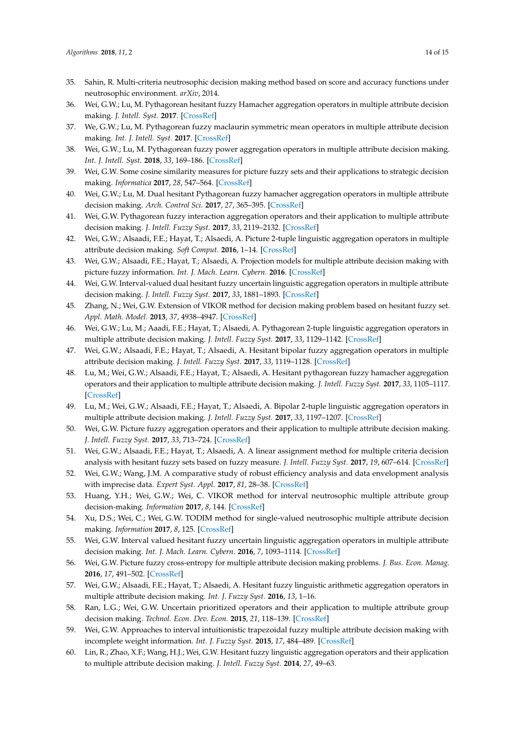- <span id="page-13-0"></span>35. Sahin, R. Multi-criteria neutrosophic decision making method based on score and accuracy functions under neutrosophic environment. *arXiv*, 2014.
- <span id="page-13-1"></span>36. Wei, G.W.; Lu, M. Pythagorean hesitant fuzzy Hamacher aggregation operators in multiple attribute decision making. *J. Intell. Syst.* **2017**. [\[CrossRef\]](http://dx.doi.org/10.1515/jisys-2017-0106)
- 37. We, G.W.; Lu, M. Pythagorean fuzzy maclaurin symmetric mean operators in multiple attribute decision making. *Int. J. Intell. Syst.* **2017**. [\[CrossRef\]](http://dx.doi.org/10.1002/int.21911)
- 38. Wei, G.W.; Lu, M. Pythagorean fuzzy power aggregation operators in multiple attribute decision making. *Int. J. Intell. Syst.* **2018**, *33*, 169–186. [\[CrossRef\]](http://dx.doi.org/10.1002/int.21946)
- 39. Wei, G.W. Some cosine similarity measures for picture fuzzy sets and their applications to strategic decision making. *Informatica* **2017**, *28*, 547–564. [\[CrossRef\]](http://dx.doi.org/10.15388/Informatica.2017.144)
- 40. Wei, G.W.; Lu, M. Dual hesitant Pythagorean fuzzy hamacher aggregation operators in multiple attribute decision making. *Arch. Control Sci.* **2017**, *27*, 365–395. [\[CrossRef\]](http://dx.doi.org/10.1515/acsc-2017-0024)
- 41. Wei, G.W. Pythagorean fuzzy interaction aggregation operators and their application to multiple attribute decision making. *J. Intell. Fuzzy Syst.* **2017**, *33*, 2119–2132. [\[CrossRef\]](http://dx.doi.org/10.3233/JIFS-162030)
- 42. Wei, G.W.; Alsaadi, F.E.; Hayat, T.; Alsaedi, A. Picture 2-tuple linguistic aggregation operators in multiple attribute decision making. *Soft Comput.* **2016**, 1–14. [\[CrossRef\]](http://dx.doi.org/10.1007/s00500-016-2403-8)
- 43. Wei, G.W.; Alsaadi, F.E.; Hayat, T.; Alsaedi, A. Projection models for multiple attribute decision making with picture fuzzy information. *Int. J. Mach. Learn. Cybern.* **2016**. [\[CrossRef\]](http://dx.doi.org/10.1007/s13042-016-0604-1)
- 44. Wei, G.W. Interval-valued dual hesitant fuzzy uncertain linguistic aggregation operators in multiple attribute decision making. *J. Intell. Fuzzy Syst.* **2017**, *33*, 1881–1893. [\[CrossRef\]](http://dx.doi.org/10.3233/JIFS-161811)
- 45. Zhang, N.; Wei, G.W. Extension of VIKOR method for decision making problem based on hesitant fuzzy set. *Appl. Math. Model.* **2013**, *37*, 4938–4947. [\[CrossRef\]](http://dx.doi.org/10.1016/j.apm.2012.10.002)
- 46. Wei, G.W.; Lu, M.; Aaadi, F.E.; Hayat, T.; Alsaedi, A. Pythagorean 2-tuple linguistic aggregation operators in multiple attribute decision making. *J. Intell. Fuzzy Syst.* **2017**, *33*, 1129–1142. [\[CrossRef\]](http://dx.doi.org/10.3233/JIFS-16715)
- 47. Wei, G.W.; Alsaadi, F.E.; Hayat, T.; Alsaedi, A. Hesitant bipolar fuzzy aggregation operators in multiple attribute decision making. *J. Intell. Fuzzy Syst.* **2017**, *33*, 1119–1128. [\[CrossRef\]](http://dx.doi.org/10.3233/JIFS-16612)
- 48. Lu, M.; Wei, G.W.; Alsaadi, F.E.; Hayat, T.; Alsaedi, A. Hesitant pythagorean fuzzy hamacher aggregation operators and their application to multiple attribute decision making. *J. Intell. Fuzzy Syst.* **2017**, *33*, 1105–1117. [\[CrossRef\]](http://dx.doi.org/10.3233/JIFS-16554)
- 49. Lu, M.; Wei, G.W.; Alsaadi, F.E.; Hayat, T.; Alsaedi, A. Bipolar 2-tuple linguistic aggregation operators in multiple attribute decision making. *J. Intell. Fuzzy Syst.* **2017**, *33*, 1197–1207. [\[CrossRef\]](http://dx.doi.org/10.3233/JIFS-16946)
- 50. Wei, G.W. Picture fuzzy aggregation operators and their application to multiple attribute decision making. *J. Intell. Fuzzy Syst.* **2017**, *33*, 713–724. [\[CrossRef\]](http://dx.doi.org/10.3233/JIFS-161798)
- 51. Wei, G.W.; Alsaadi, F.E.; Hayat, T.; Alsaedi, A. A linear assignment method for multiple criteria decision analysis with hesitant fuzzy sets based on fuzzy measure. *J. Intell. Fuzzy Syst.* **2017**, *19*, 607–614. [\[CrossRef\]](http://dx.doi.org/10.1007/s40815-016-0177-x)
- 52. Wei, G.W.; Wang, J.M. A comparative study of robust efficiency analysis and data envelopment analysis with imprecise data. *Expert Syst. Appl.* **2017**, *81*, 28–38. [\[CrossRef\]](http://dx.doi.org/10.1016/j.eswa.2017.03.043)
- 53. Huang, Y.H.; Wei, G.W.; Wei, C. VIKOR method for interval neutrosophic multiple attribute group decision-making. *Information* **2017**, *8*, 144. [\[CrossRef\]](http://dx.doi.org/10.3390/info8040144)
- 54. Xu, D.S.; Wei, C.; Wei, G.W. TODIM method for single-valued neutrosophic multiple attribute decision making. *Information* **2017**, *8*, 125. [\[CrossRef\]](http://dx.doi.org/10.3390/info8040125)
- 55. Wei, G.W. Interval valued hesitant fuzzy uncertain linguistic aggregation operators in multiple attribute decision making. *Int. J. Mach. Learn. Cybern.* **2016**, *7*, 1093–1114. [\[CrossRef\]](http://dx.doi.org/10.1007/s13042-015-0433-7)
- 56. Wei, G.W. Picture fuzzy cross-entropy for multiple attribute decision making problems. *J. Bus. Econ. Manag.* **2016**, *17*, 491–502. [\[CrossRef\]](http://dx.doi.org/10.3846/16111699.2016.1197147)
- <span id="page-13-2"></span>57. Wei, G.W.; Alsaadi, F.E.; Hayat, T.; Alsaedi, A. Hesitant fuzzy linguistic arithmetic aggregation operators in multiple attribute decision making. *Int. J. Fuzzy Syst.* **2016**, *13*, 1–16.
- <span id="page-13-3"></span>58. Ran, L.G.; Wei, G.W. Uncertain prioritized operators and their application to multiple attribute group decision making. *Technol. Econ. Dev. Econ.* **2015**, *21*, 118–139. [\[CrossRef\]](http://dx.doi.org/10.3846/20294913.2014.979454)
- 59. Wei, G.W. Approaches to interval intuitionistic trapezoidal fuzzy multiple attribute decision making with incomplete weight information. *Int. J. Fuzzy Syst.* **2015**, *17*, 484–489. [\[CrossRef\]](http://dx.doi.org/10.1007/s40815-015-0060-1)
- 60. Lin, R.; Zhao, X.F.; Wang, H.J.; Wei, G.W. Hesitant fuzzy linguistic aggregation operators and their application to multiple attribute decision making. *J. Intell. Fuzzy Syst.* **2014**, *27*, 49–63.